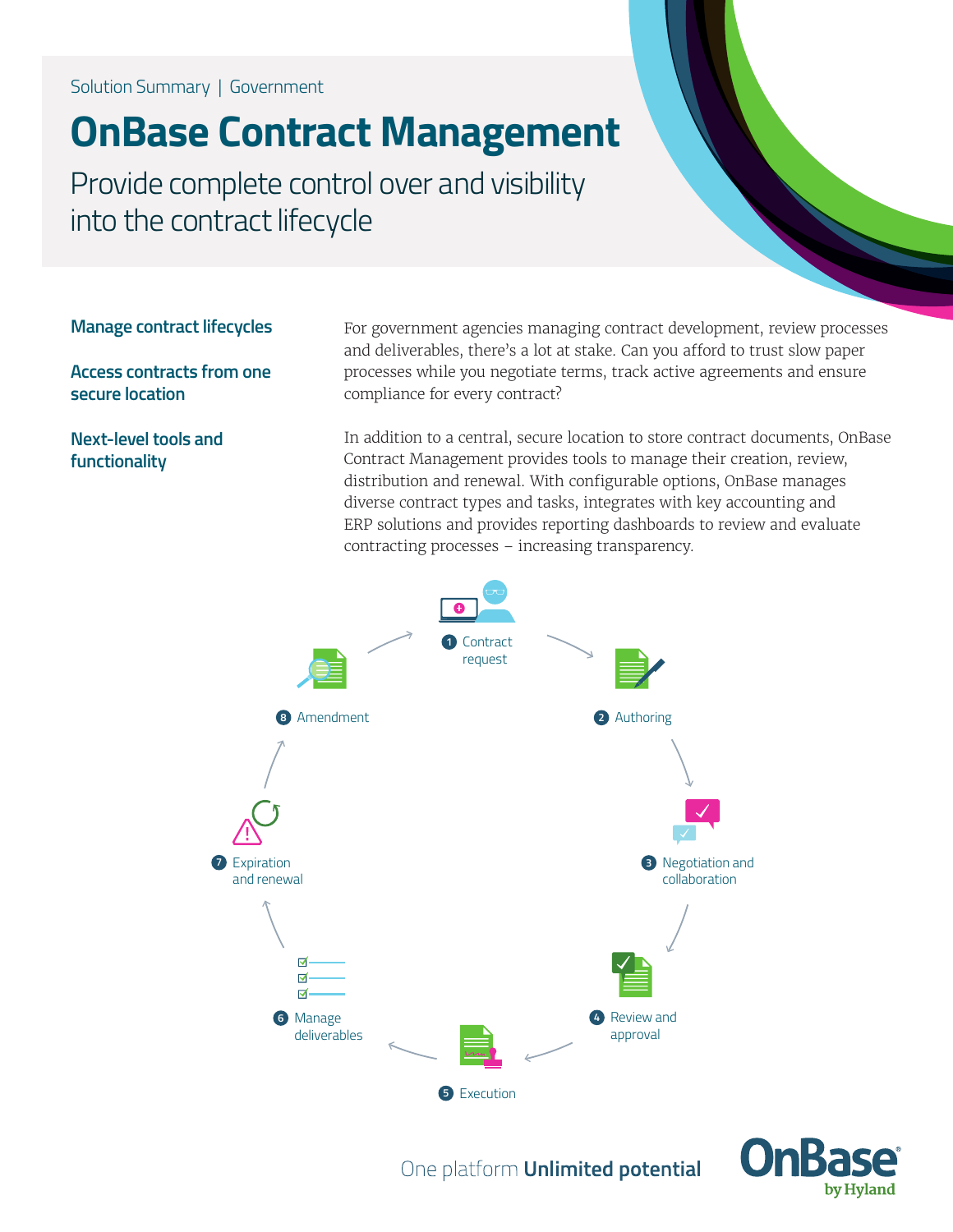Solution Summary | Government

# **OnBase Contract Management**

Provide complete control over and visibility into the contract lifecycle

**Manage contract lifecycles**

**Access contracts from one secure location**

**Next-level tools and functionality**

For government agencies managing contract development, review processes and deliverables, there's a lot at stake. Can you afford to trust slow paper processes while you negotiate terms, track active agreements and ensure compliance for every contract?

In addition to a central, secure location to store contract documents, OnBase Contract Management provides tools to manage their creation, review, distribution and renewal. With configurable options, OnBase manages diverse contract types and tasks, integrates with key accounting and ERP solutions and provides reporting dashboards to review and evaluate contracting processes – increasing transparency.





One platform **Unlimited potential**